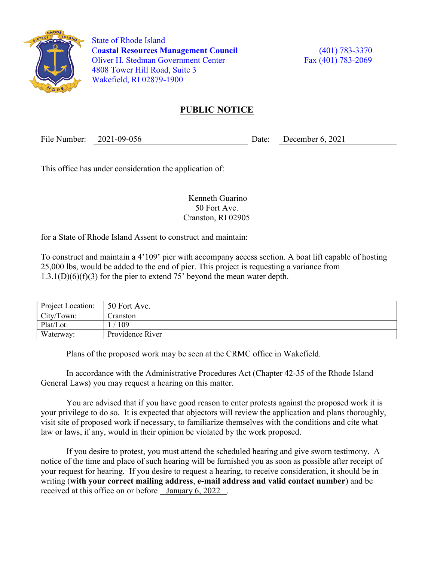

 State of Rhode Island Coastal Resources Management Council (401) 783-3370 Oliver H. Stedman Government Center Fax (401) 783-2069 4808 Tower Hill Road, Suite 3 Wakefield, RI 02879-1900

## PUBLIC NOTICE

File Number: 2021-09-056 Date: December 6, 2021

This office has under consideration the application of:

 Kenneth Guarino 50 Fort Ave. Cranston, RI 02905

for a State of Rhode Island Assent to construct and maintain:

To construct and maintain a 4'109' pier with accompany access section. A boat lift capable of hosting 25,000 lbs, would be added to the end of pier. This project is requesting a variance from  $1.3.1(D)(6)(f)(3)$  for the pier to extend 75' beyond the mean water depth.

| Project Location: | 50 Fort Ave.     |
|-------------------|------------------|
| City/Town:        | Cranston         |
| Plat/Lot:         | 109              |
| Waterway:         | Providence River |

Plans of the proposed work may be seen at the CRMC office in Wakefield.

In accordance with the Administrative Procedures Act (Chapter 42-35 of the Rhode Island General Laws) you may request a hearing on this matter.

You are advised that if you have good reason to enter protests against the proposed work it is your privilege to do so. It is expected that objectors will review the application and plans thoroughly, visit site of proposed work if necessary, to familiarize themselves with the conditions and cite what law or laws, if any, would in their opinion be violated by the work proposed.

If you desire to protest, you must attend the scheduled hearing and give sworn testimony. A notice of the time and place of such hearing will be furnished you as soon as possible after receipt of your request for hearing. If you desire to request a hearing, to receive consideration, it should be in writing (with your correct mailing address, e-mail address and valid contact number) and be received at this office on or before January 6, 2022 .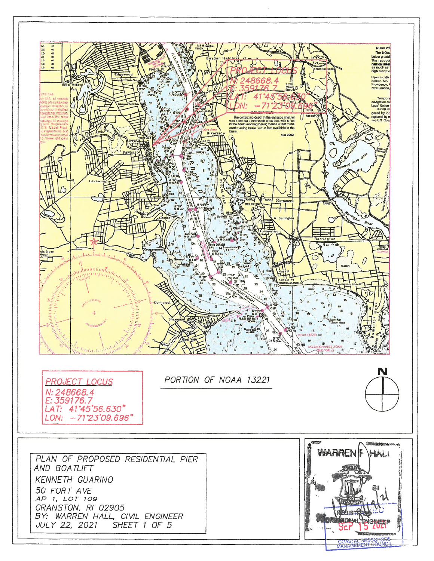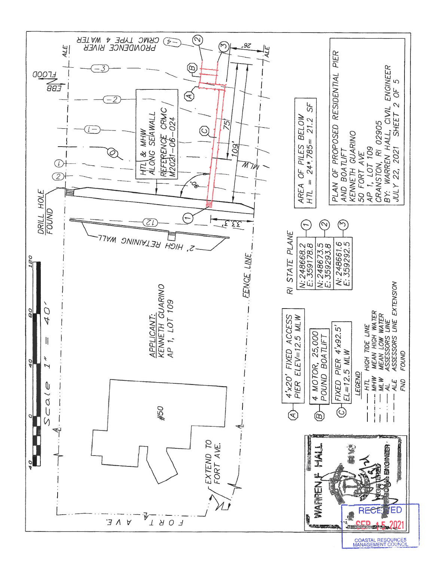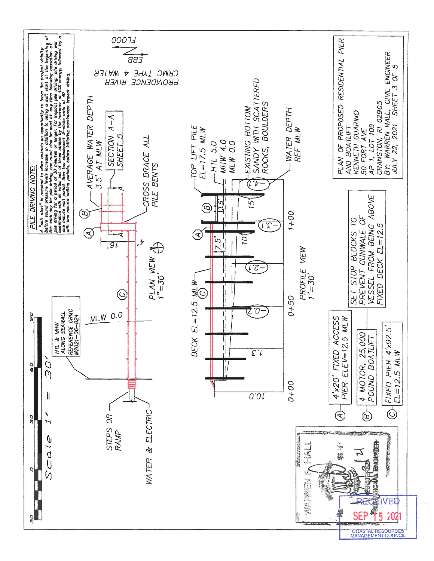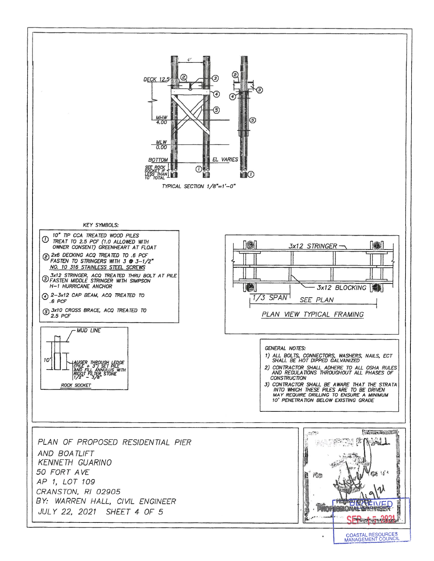

COASTAL RESOURCES